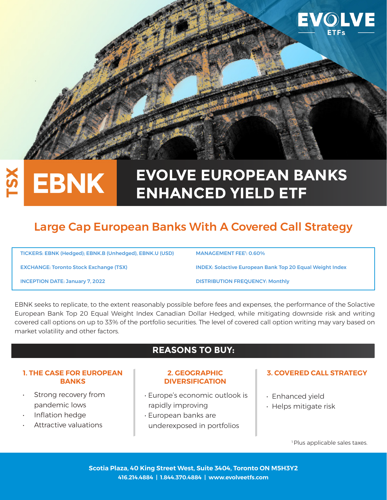

### **EVOLVE EUROPEAN BANKS TSX EBNK ENHANCED YIELD ETF**

# Large Cap European Banks With A Covered Call Strategy

| TICKERS: EBNK (Hedged); EBNK.B (Unhedged), EBNK.U (USD) | <b>MANAGEMENT FEE<sup>1</sup>: 0.60%</b>                        |
|---------------------------------------------------------|-----------------------------------------------------------------|
| <b>EXCHANGE: Toronto Stock Exchange (TSX)</b>           | <b>INDEX: Solactive European Bank Top 20 Equal Weight Index</b> |
| <b>INCEPTION DATE: January 7, 2022</b>                  | <b>DISTRIBUTION FREOUENCY: Monthly</b>                          |

EBNK seeks to replicate, to the extent reasonably possible before fees and expenses, the performance of the Solactive European Bank Top 20 Equal Weight Index Canadian Dollar Hedged, while mitigating downside risk and writing covered call options on up to 33% of the portfolio securities. The level of covered call option writing may vary based on market volatility and other factors.

# **REASONS TO BUY:**

#### **1. THE CASE FOR EUROPEAN BANKS**

- Strong recovery from pandemic lows
- Inflation hedge
- Attractive valuations

#### **2. GEOGRAPHIC DIVERSIFICATION**

- Europe's economic outlook is rapidly improving
- European banks are underexposed in portfolios

### **3. COVERED CALL STRATEGY**

- Enhanced yield
- Helps mitigate risk

<sup>1</sup> Plus applicable sales taxes.

**Scotia Plaza, 40 King Street West, Suite 3404, Toronto ON M5H3Y2 416.214.4884 | 1.844.370.4884 | www.evolveetfs.com**